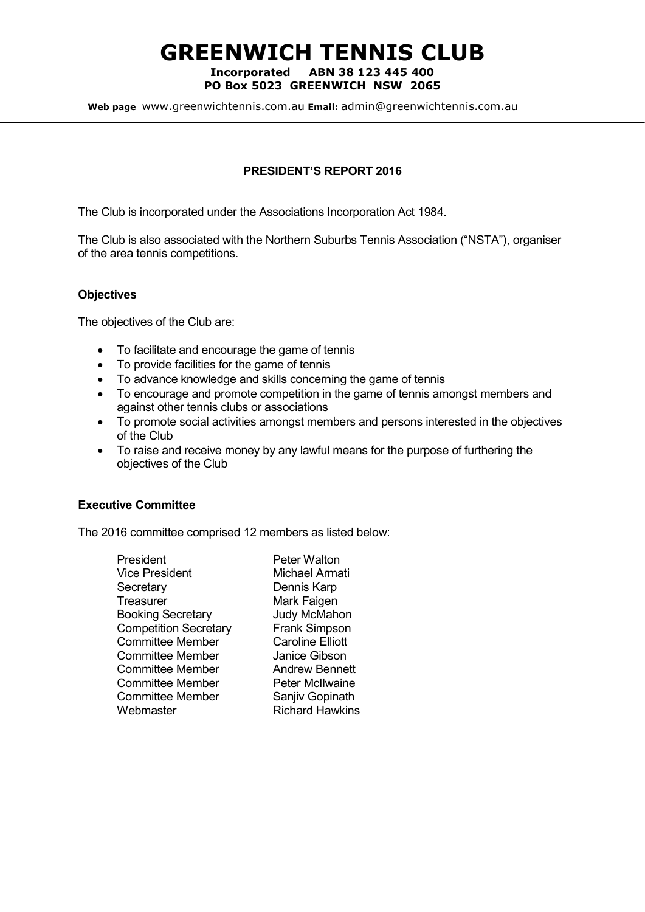# GREENWICH TENNIS CLUB

#### Incorporated ABN 38 123 445 400 PO Box 5023 GREENWICH NSW 2065

Web page www.greenwichtennis.com.au Email: admin@greenwichtennis.com.au

# PRESIDENT'S REPORT 2016

The Club is incorporated under the Associations Incorporation Act 1984.

The Club is also associated with the Northern Suburbs Tennis Association ("NSTA"), organiser of the area tennis competitions.

## **Objectives**

The objectives of the Club are:

- To facilitate and encourage the game of tennis
- To provide facilities for the game of tennis
- To advance knowledge and skills concerning the game of tennis
- To encourage and promote competition in the game of tennis amongst members and against other tennis clubs or associations
- To promote social activities amongst members and persons interested in the objectives of the Club
- To raise and receive money by any lawful means for the purpose of furthering the objectives of the Club

## Executive Committee

The 2016 committee comprised 12 members as listed below:

| President                    |
|------------------------------|
| <b>Vice President</b>        |
| Secretary                    |
| Treasurer                    |
| <b>Booking Secretary</b>     |
| <b>Competition Secretary</b> |
| Committee Member             |
| Committee Member             |
| Committee Member             |
| <b>Committee Member</b>      |
| Committee Member             |
| Webmaster                    |
|                              |

Peter Walton **Michael Armati** Dennis Karp Mark Faigen Judy McMahon Frank Simpson **Caroline Elliott** Janice Gibson **Andrew Bennett** Peter McIlwaine Sanjiv Gopinath **Richard Hawkins**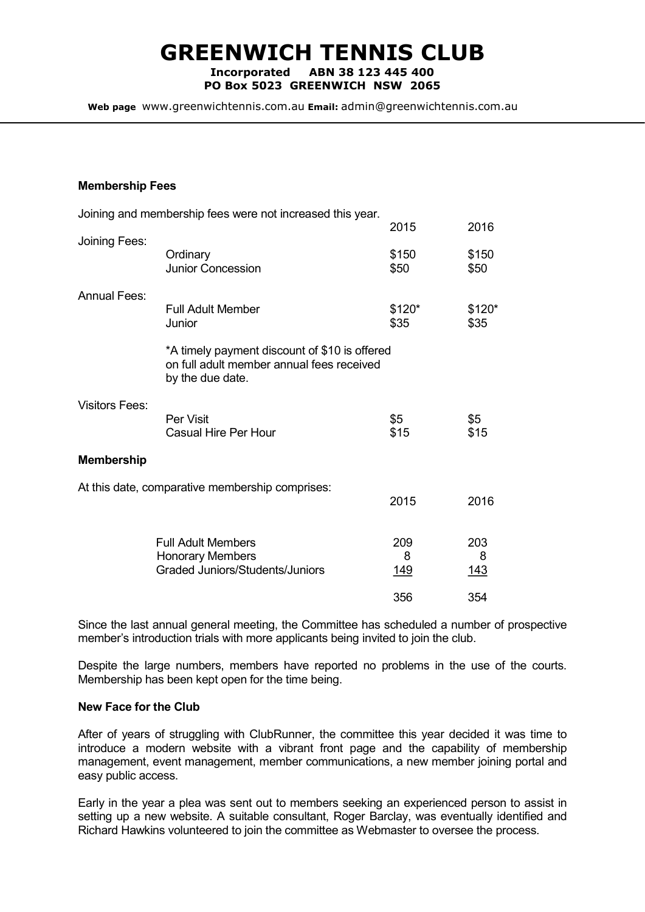# GREENWICH TENNIS CLUB

Incorporated ABN 38 123 445 400 PO Box 5023 GREENWICH NSW 2065

Web page www.greenwichtennis.com.au Email: admin@greenwichtennis.com.au

#### Membership Fees

|                       | Joining and membership fees were not increased this year.                                                      |                         |                 |
|-----------------------|----------------------------------------------------------------------------------------------------------------|-------------------------|-----------------|
|                       |                                                                                                                | 2015                    | 2016            |
| Joining Fees:         | Ordinary<br>Junior Concession                                                                                  | \$150<br>\$50           | \$150<br>\$50   |
| <b>Annual Fees:</b>   | <b>Full Adult Member</b><br>Junior                                                                             | \$120*<br>\$35          | $$120*$<br>\$35 |
|                       | *A timely payment discount of \$10 is offered<br>on full adult member annual fees received<br>by the due date. |                         |                 |
| <b>Visitors Fees:</b> | Per Visit<br>Casual Hire Per Hour                                                                              | \$5<br>\$15             | \$5<br>\$15     |
| <b>Membership</b>     |                                                                                                                |                         |                 |
|                       | At this date, comparative membership comprises:                                                                | 2015                    | 2016            |
|                       | <b>Full Adult Members</b><br><b>Honorary Members</b><br>Graded Juniors/Students/Juniors                        | 209<br>8<br><u> 149</u> | 203<br>8<br>143 |
|                       |                                                                                                                | 356                     | 354             |

Since the last annual general meeting, the Committee has scheduled a number of prospective member's introduction trials with more applicants being invited to join the club.

Despite the large numbers, members have reported no problems in the use of the courts. Membership has been kept open for the time being.

## New Face for the Club

After of years of struggling with ClubRunner, the committee this year decided it was time to introduce a modern website with a vibrant front page and the capability of membership management, event management, member communications, a new member joining portal and easy public access.

Early in the year a plea was sent out to members seeking an experienced person to assist in setting up a new website. A suitable consultant, Roger Barclay, was eventually identified and Richard Hawkins volunteered to join the committee as Webmaster to oversee the process.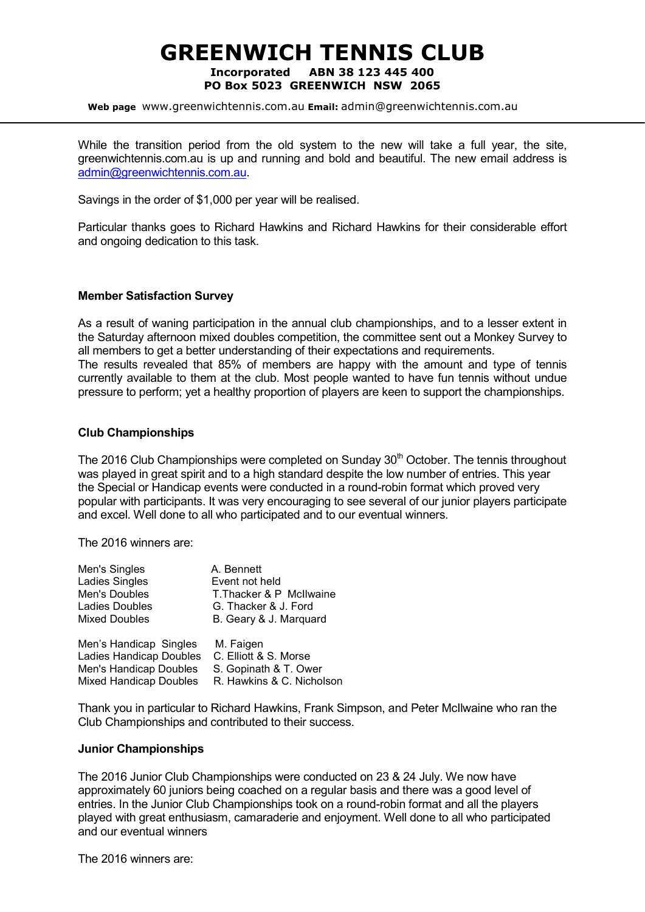# GREENWICH TENNIS CLUB Incorporated ABN 38 123 445 400 PO Box 5023 GREENWICH NSW 2065

Web page www.greenwichtennis.com.au Email: admin@greenwichtennis.com.au

While the transition period from the old system to the new will take a full year, the site, greenwichtennis.com.au is up and running and bold and beautiful. The new email address is admin@greenwichtennis.com.au.

Savings in the order of \$1,000 per year will be realised.

Particular thanks goes to Richard Hawkins and Richard Hawkins for their considerable effort and ongoing dedication to this task.

#### Member Satisfaction Survey

As a result of waning participation in the annual club championships, and to a lesser extent in the Saturday afternoon mixed doubles competition, the committee sent out a Monkey Survey to all members to get a better understanding of their expectations and requirements.

The results revealed that 85% of members are happy with the amount and type of tennis currently available to them at the club. Most people wanted to have fun tennis without undue pressure to perform; yet a healthy proportion of players are keen to support the championships.

### Club Championships

The 2016 Club Championships were completed on Sunday  $30<sup>th</sup>$  October. The tennis throughout was played in great spirit and to a high standard despite the low number of entries. This year the Special or Handicap events were conducted in a round-robin format which proved very popular with participants. It was very encouraging to see several of our junior players participate and excel. Well done to all who participated and to our eventual winners.

The 2016 winners are:

| Men's Singles                  | A. Bennett                |
|--------------------------------|---------------------------|
| <b>Ladies Singles</b>          | Event not held            |
| Men's Doubles                  | T. Thacker & P McIlwaine  |
| Ladies Doubles                 | G. Thacker & J. Ford      |
| <b>Mixed Doubles</b>           | B. Geary & J. Marquard    |
| Men's Handicap Singles         | M. Faigen                 |
| <b>Ladies Handicap Doubles</b> | C. Elliott & S. Morse     |
| Men's Handicap Doubles         | S. Gopinath & T. Ower     |
| <b>Mixed Handicap Doubles</b>  | R. Hawkins & C. Nicholson |

Thank you in particular to Richard Hawkins, Frank Simpson, and Peter McIlwaine who ran the Club Championships and contributed to their success.

#### Junior Championships

The 2016 Junior Club Championships were conducted on 23 & 24 July. We now have approximately 60 juniors being coached on a regular basis and there was a good level of entries. In the Junior Club Championships took on a round-robin format and all the players played with great enthusiasm, camaraderie and enjoyment. Well done to all who participated and our eventual winners

The 2016 winners are: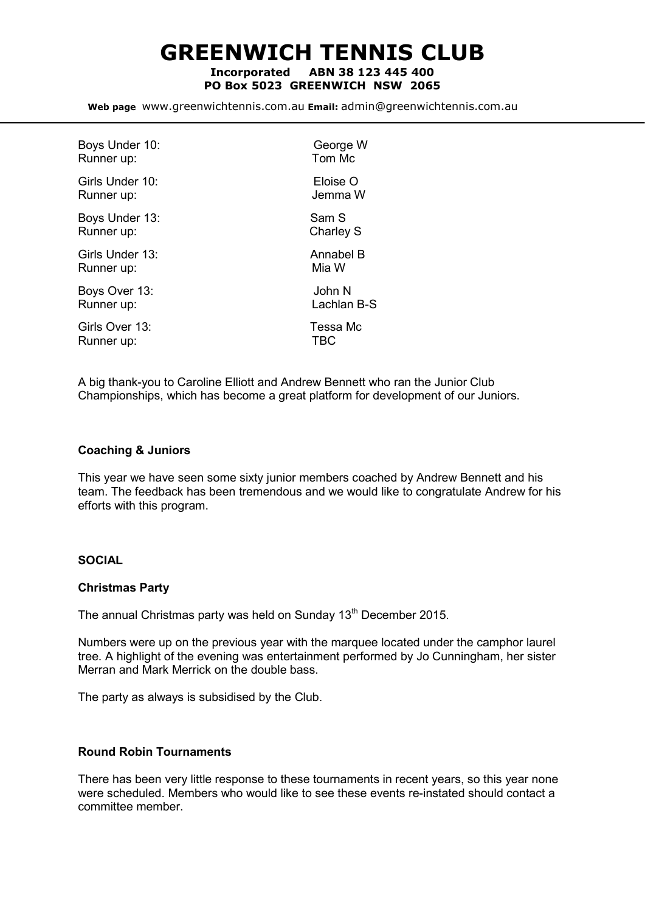GREENWICH TENNIS CLUB Incorporated ABN 38 123 445 400

PO Box 5023 GREENWICH NSW 2065

Web page www.greenwichtennis.com.au Email: admin@greenwichtennis.com.au

| Boys Under 10:  | George W         |
|-----------------|------------------|
| Runner up:      | Tom Mc           |
| Girls Under 10: | Eloise O         |
| Runner up:      | Jemma W          |
| Boys Under 13:  | Sam S            |
| Runner up:      | <b>Charley S</b> |
| Girls Under 13: | Annabel B        |
| Runner up:      | Mia W            |
| Boys Over 13:   | John N           |
| Runner up:      | Lachlan B-S      |
| Girls Over 13:  | Tessa Mc         |
| Runner up:      | TBC              |
|                 |                  |

A big thank-you to Caroline Elliott and Andrew Bennett who ran the Junior Club Championships, which has become a great platform for development of our Juniors.

#### Coaching & Juniors

This year we have seen some sixty junior members coached by Andrew Bennett and his team. The feedback has been tremendous and we would like to congratulate Andrew for his efforts with this program.

#### SOCIAL

## Christmas Party

The annual Christmas party was held on Sunday 13<sup>th</sup> December 2015.

Numbers were up on the previous year with the marquee located under the camphor laurel tree. A highlight of the evening was entertainment performed by Jo Cunningham, her sister Merran and Mark Merrick on the double bass.

The party as always is subsidised by the Club.

### Round Robin Tournaments

There has been very little response to these tournaments in recent years, so this year none were scheduled. Members who would like to see these events re-instated should contact a committee member.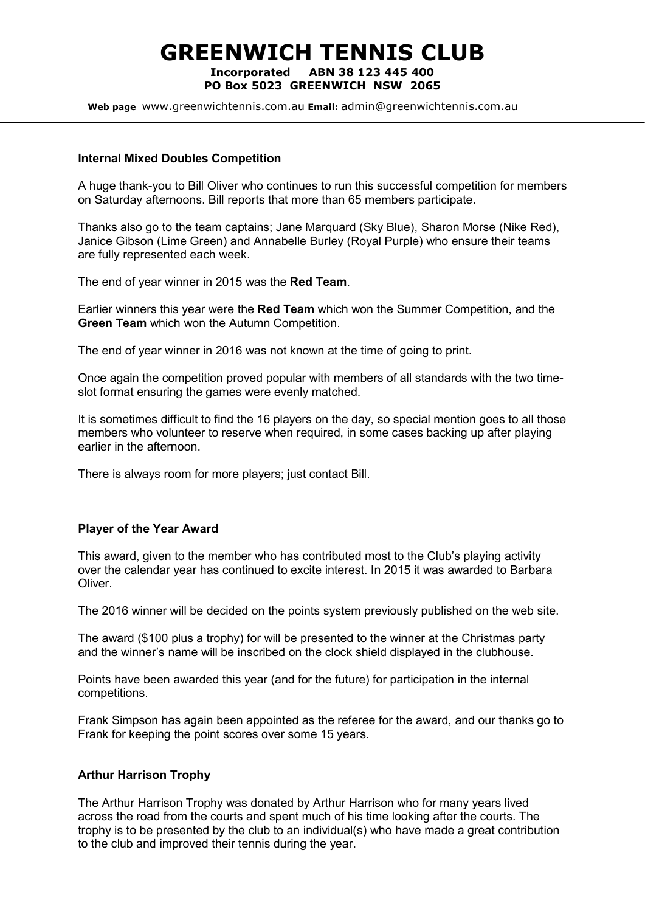# GREENWICH TENNIS CLUB Incorporated ABN 38 123 445 400 PO Box 5023 GREENWICH NSW 2065

Web page www.greenwichtennis.com.au Email: admin@greenwichtennis.com.au

#### Internal Mixed Doubles Competition

A huge thank-you to Bill Oliver who continues to run this successful competition for members on Saturday afternoons. Bill reports that more than 65 members participate.

Thanks also go to the team captains; Jane Marquard (Sky Blue), Sharon Morse (Nike Red), Janice Gibson (Lime Green) and Annabelle Burley (Royal Purple) who ensure their teams are fully represented each week.

The end of year winner in 2015 was the Red Team.

Earlier winners this year were the Red Team which won the Summer Competition, and the Green Team which won the Autumn Competition.

The end of year winner in 2016 was not known at the time of going to print.

Once again the competition proved popular with members of all standards with the two timeslot format ensuring the games were evenly matched.

It is sometimes difficult to find the 16 players on the day, so special mention goes to all those members who volunteer to reserve when required, in some cases backing up after playing earlier in the afternoon.

There is always room for more players; just contact Bill.

#### Player of the Year Award

This award, given to the member who has contributed most to the Club's playing activity over the calendar year has continued to excite interest. In 2015 it was awarded to Barbara Oliver.

The 2016 winner will be decided on the points system previously published on the web site.

The award (\$100 plus a trophy) for will be presented to the winner at the Christmas party and the winner's name will be inscribed on the clock shield displayed in the clubhouse.

Points have been awarded this year (and for the future) for participation in the internal competitions.

Frank Simpson has again been appointed as the referee for the award, and our thanks go to Frank for keeping the point scores over some 15 years.

#### Arthur Harrison Trophy

The Arthur Harrison Trophy was donated by Arthur Harrison who for many years lived across the road from the courts and spent much of his time looking after the courts. The trophy is to be presented by the club to an individual(s) who have made a great contribution to the club and improved their tennis during the year.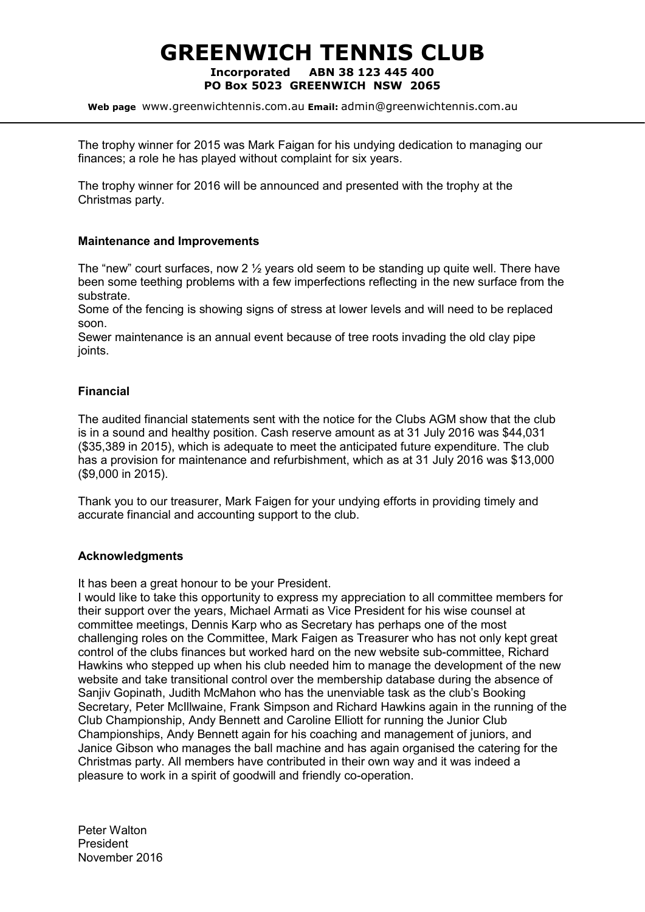# GREENWICH TENNIS CLUB Incorporated ABN 38 123 445 400 PO Box 5023 GREENWICH NSW 2065

Web page www.greenwichtennis.com.au Email: admin@greenwichtennis.com.au

The trophy winner for 2015 was Mark Faigan for his undying dedication to managing our finances; a role he has played without complaint for six years.

The trophy winner for 2016 will be announced and presented with the trophy at the Christmas party.

#### Maintenance and Improvements

The "new" court surfaces, now 2  $\frac{1}{2}$  years old seem to be standing up quite well. There have been some teething problems with a few imperfections reflecting in the new surface from the substrate.

Some of the fencing is showing signs of stress at lower levels and will need to be replaced soon.

Sewer maintenance is an annual event because of tree roots invading the old clay pipe joints.

#### Financial

The audited financial statements sent with the notice for the Clubs AGM show that the club is in a sound and healthy position. Cash reserve amount as at 31 July 2016 was \$44,031 (\$35,389 in 2015), which is adequate to meet the anticipated future expenditure. The club has a provision for maintenance and refurbishment, which as at 31 July 2016 was \$13,000 (\$9,000 in 2015).

Thank you to our treasurer, Mark Faigen for your undying efforts in providing timely and accurate financial and accounting support to the club.

#### Acknowledgments

It has been a great honour to be your President.

I would like to take this opportunity to express my appreciation to all committee members for their support over the years, Michael Armati as Vice President for his wise counsel at committee meetings, Dennis Karp who as Secretary has perhaps one of the most challenging roles on the Committee, Mark Faigen as Treasurer who has not only kept great control of the clubs finances but worked hard on the new website sub-committee, Richard Hawkins who stepped up when his club needed him to manage the development of the new website and take transitional control over the membership database during the absence of Sanjiv Gopinath, Judith McMahon who has the unenviable task as the club's Booking Secretary, Peter McIllwaine, Frank Simpson and Richard Hawkins again in the running of the Club Championship, Andy Bennett and Caroline Elliott for running the Junior Club Championships, Andy Bennett again for his coaching and management of juniors, and Janice Gibson who manages the ball machine and has again organised the catering for the Christmas party. All members have contributed in their own way and it was indeed a pleasure to work in a spirit of goodwill and friendly co-operation.

Peter Walton President November 2016